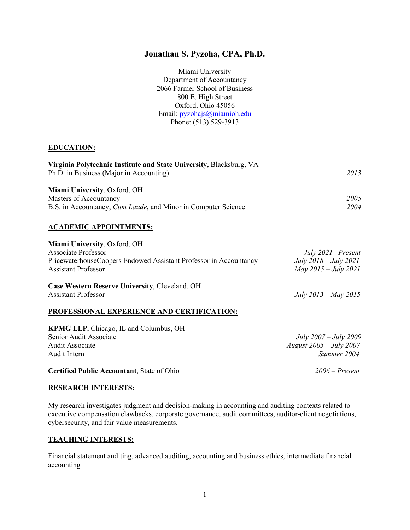## **Jonathan S. Pyzoha, CPA, Ph.D.**

Miami University Department of Accountancy 2066 Farmer School of Business 800 E. High Street Oxford, Ohio 45056 Email: pyzohajs@miamioh.edu Phone: (513) 529-3913

### **EDUCATION:**

| Virginia Polytechnic Institute and State University, Blacksburg, VA   |      |  |
|-----------------------------------------------------------------------|------|--|
| Ph.D. in Business (Major in Accounting)                               |      |  |
| Miami University, Oxford, OH                                          |      |  |
| Masters of Accountancy                                                | 2005 |  |
| B.S. in Accountancy, <i>Cum Laude</i> , and Minor in Computer Science | 2004 |  |
|                                                                       |      |  |

#### **ACADEMIC APPOINTMENTS:**

| Miami University, Oxford, OH                                                        |                              |
|-------------------------------------------------------------------------------------|------------------------------|
| <b>Associate Professor</b>                                                          | July $2021$ – Present        |
| PricewaterhouseCoopers Endowed Assistant Professor in Accountancy                   | $July 2018 - July 2021$      |
| <b>Assistant Professor</b>                                                          | May $2015 - July 2021$       |
| <b>Case Western Reserve University, Cleveland, OH</b><br><b>Assistant Professor</b> | July $2013 - May 2015$       |
| PROFESSIONAL EXPERIENCE AND CERTIFICATION:                                          |                              |
| <b>KPMG LLP, Chicago, IL and Columbus, OH</b>                                       |                              |
| Senior Audit Associate                                                              | <i>July 2007 – July 2009</i> |
| Audit Associate                                                                     | August $2005 - July 2007$    |

Audit Intern *Summer 2004*

**Certified Public Accountant**, State of Ohio *2006 – Present*

#### **RESEARCH INTERESTS:**

My research investigates judgment and decision-making in accounting and auditing contexts related to executive compensation clawbacks, corporate governance, audit committees, auditor-client negotiations, cybersecurity, and fair value measurements.

### **TEACHING INTERESTS:**

Financial statement auditing, advanced auditing, accounting and business ethics, intermediate financial accounting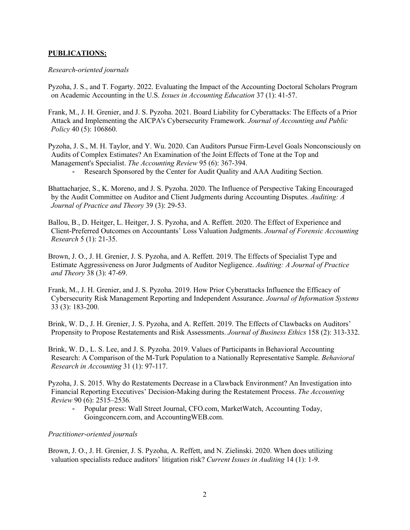### **PUBLICATIONS:**

#### *Research-oriented journals*

- Pyzoha, J. S., and T. Fogarty. 2022. Evaluating the Impact of the Accounting Doctoral Scholars Program on Academic Accounting in the U.S. *Issues in Accounting Education* 37 (1): 41-57.
- Frank, M., J. H. Grenier, and J. S. Pyzoha. 2021. Board Liability for Cyberattacks: The Effects of a Prior Attack and Implementing the AICPA's Cybersecurity Framework. *Journal of Accounting and Public Policy* 40 (5): 106860.
- Pyzoha, J. S., M. H. Taylor, and Y. Wu. 2020. Can Auditors Pursue Firm-Level Goals Nonconsciously on Audits of Complex Estimates? An Examination of the Joint Effects of Tone at the Top and Management's Specialist. *The Accounting Review* 95 (6): 367-394.
	- Research Sponsored by the Center for Audit Quality and AAA Auditing Section.
- Bhattacharjee, S., K. Moreno, and J. S. Pyzoha. 2020. The Influence of Perspective Taking Encouraged by the Audit Committee on Auditor and Client Judgments during Accounting Disputes. *Auditing: A Journal of Practice and Theory* 39 (3): 29-53.
- Ballou, B., D. Heitger, L. Heitger, J. S. Pyzoha, and A. Reffett. 2020. The Effect of Experience and Client-Preferred Outcomes on Accountants' Loss Valuation Judgments. *Journal of Forensic Accounting Research* 5 (1): 21-35.
- Brown, J. O., J. H. Grenier, J. S. Pyzoha, and A. Reffett. 2019. The Effects of Specialist Type and Estimate Aggressiveness on Juror Judgments of Auditor Negligence. *Auditing: A Journal of Practice and Theory* 38 (3): 47-69.
- Frank, M., J. H. Grenier, and J. S. Pyzoha. 2019. How Prior Cyberattacks Influence the Efficacy of Cybersecurity Risk Management Reporting and Independent Assurance. *Journal of Information Systems* 33 (3): 183-200.
- Brink, W. D., J. H. Grenier, J. S. Pyzoha, and A. Reffett. 2019. The Effects of Clawbacks on Auditors' Propensity to Propose Restatements and Risk Assessments. *Journal of Business Ethics* 158 (2): 313-332.
- Brink, W. D., L. S. Lee, and J. S. Pyzoha. 2019. Values of Participants in Behavioral Accounting Research: A Comparison of the M-Turk Population to a Nationally Representative Sample. *Behavioral Research in Accounting* 31 (1): 97-117.
- Pyzoha, J. S. 2015. Why do Restatements Decrease in a Clawback Environment? An Investigation into Financial Reporting Executives' Decision-Making during the Restatement Process. *The Accounting Review* 90 (6): 2515–2536*.*
	- Popular press: Wall Street Journal, CFO.com, MarketWatch, Accounting Today, Goingconcern.com, and AccountingWEB.com.

### *Practitioner-oriented journals*

Brown, J. O., J. H. Grenier, J. S. Pyzoha, A. Reffett, and N. Zielinski. 2020. When does utilizing valuation specialists reduce auditors' litigation risk? *Current Issues in Auditing* 14 (1): 1-9.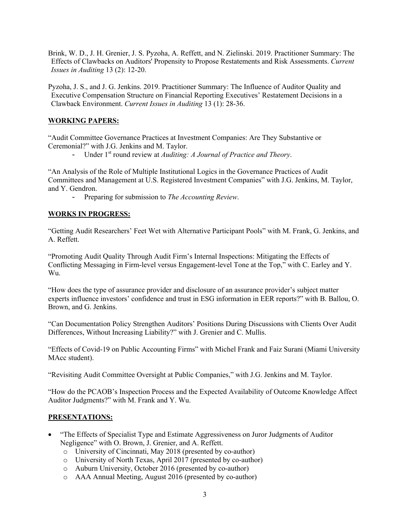Brink, W. D., J. H. Grenier, J. S. Pyzoha, A. Reffett, and N. Zielinski. 2019. Practitioner Summary: The Effects of Clawbacks on Auditors' Propensity to Propose Restatements and Risk Assessments. *Current Issues in Auditing* 13 (2): 12-20.

Pyzoha, J. S., and J. G. Jenkins. 2019. Practitioner Summary: The Influence of Auditor Quality and Executive Compensation Structure on Financial Reporting Executives' Restatement Decisions in a Clawback Environment. *Current Issues in Auditing* 13 (1): 28-36.

### **WORKING PAPERS:**

"Audit Committee Governance Practices at Investment Companies: Are They Substantive or Ceremonial?" with J.G. Jenkins and M. Taylor.

Under 1<sup>st</sup> round review at *Auditing: A Journal of Practice and Theory*.

"An Analysis of the Role of Multiple Institutional Logics in the Governance Practices of Audit Committees and Management at U.S. Registered Investment Companies" with J.G. Jenkins, M. Taylor, and Y. Gendron.

- Preparing for submission to *The Accounting Review*.

### **WORKS IN PROGRESS:**

"Getting Audit Researchers' Feet Wet with Alternative Participant Pools" with M. Frank, G. Jenkins, and A. Reffett.

"Promoting Audit Quality Through Audit Firm's Internal Inspections: Mitigating the Effects of Conflicting Messaging in Firm-level versus Engagement-level Tone at the Top," with C. Earley and Y. Wu.

"How does the type of assurance provider and disclosure of an assurance provider's subject matter experts influence investors' confidence and trust in ESG information in EER reports?" with B. Ballou, O. Brown, and G. Jenkins.

"Can Documentation Policy Strengthen Auditors' Positions During Discussions with Clients Over Audit Differences, Without Increasing Liability?" with J. Grenier and C. Mullis.

"Effects of Covid-19 on Public Accounting Firms" with Michel Frank and Faiz Surani (Miami University MAcc student).

"Revisiting Audit Committee Oversight at Public Companies," with J.G. Jenkins and M. Taylor.

"How do the PCAOB's Inspection Process and the Expected Availability of Outcome Knowledge Affect Auditor Judgments?" with M. Frank and Y. Wu.

### **PRESENTATIONS:**

- "The Effects of Specialist Type and Estimate Aggressiveness on Juror Judgments of Auditor Negligence" with O. Brown, J. Grenier, and A. Reffett.
	- o University of Cincinnati, May 2018 (presented by co-author)
	- o University of North Texas, April 2017 (presented by co-author)
	- o Auburn University, October 2016 (presented by co-author)
	- o AAA Annual Meeting, August 2016 (presented by co-author)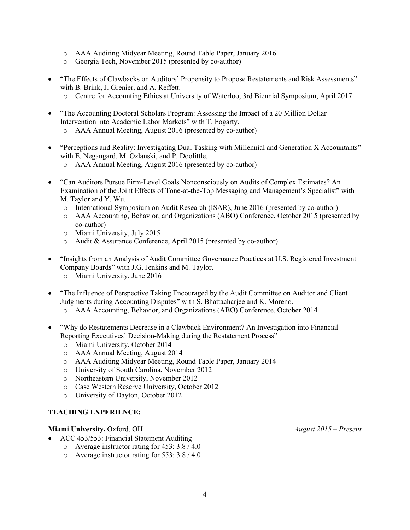- o AAA Auditing Midyear Meeting, Round Table Paper, January 2016
- o Georgia Tech, November 2015 (presented by co-author)
- "The Effects of Clawbacks on Auditors' Propensity to Propose Restatements and Risk Assessments" with B. Brink, J. Grenier, and A. Reffett.
	- o Centre for Accounting Ethics at University of Waterloo, 3rd Biennial Symposium, April 2017
- "The Accounting Doctoral Scholars Program: Assessing the Impact of a 20 Million Dollar Intervention into Academic Labor Markets" with T. Fogarty.
	- o AAA Annual Meeting, August 2016 (presented by co-author)
- "Perceptions and Reality: Investigating Dual Tasking with Millennial and Generation X Accountants" with E. Negangard, M. Ozlanski, and P. Doolittle.
	- o AAA Annual Meeting, August 2016 (presented by co-author)
- "Can Auditors Pursue Firm-Level Goals Nonconsciously on Audits of Complex Estimates? An Examination of the Joint Effects of Tone-at-the-Top Messaging and Management's Specialist" with M. Taylor and Y. Wu.
	- o International Symposium on Audit Research (ISAR), June 2016 (presented by co-author)
	- o AAA Accounting, Behavior, and Organizations (ABO) Conference, October 2015 (presented by co-author)
	- o Miami University, July 2015
	- o Audit & Assurance Conference, April 2015 (presented by co-author)
- "Insights from an Analysis of Audit Committee Governance Practices at U.S. Registered Investment Company Boards" with J.G. Jenkins and M. Taylor.
	- o Miami University, June 2016
- "The Influence of Perspective Taking Encouraged by the Audit Committee on Auditor and Client Judgments during Accounting Disputes" with S. Bhattacharjee and K. Moreno.
	- o AAA Accounting, Behavior, and Organizations (ABO) Conference, October 2014
- "Why do Restatements Decrease in a Clawback Environment? An Investigation into Financial Reporting Executives' Decision-Making during the Restatement Process"
	- o Miami University, October 2014
	- o AAA Annual Meeting, August 2014
	- o AAA Auditing Midyear Meeting, Round Table Paper, January 2014
	- o University of South Carolina, November 2012
	- o Northeastern University, November 2012
	- o Case Western Reserve University, October 2012
	- o University of Dayton, October 2012

### **TEACHING EXPERIENCE:**

#### **Miami University,** Oxford, OH *August 2015 – Present*

- ACC 453/553: Financial Statement Auditing
	- o Average instructor rating for 453: 3.8 / 4.0
	- o Average instructor rating for 553: 3.8 / 4.0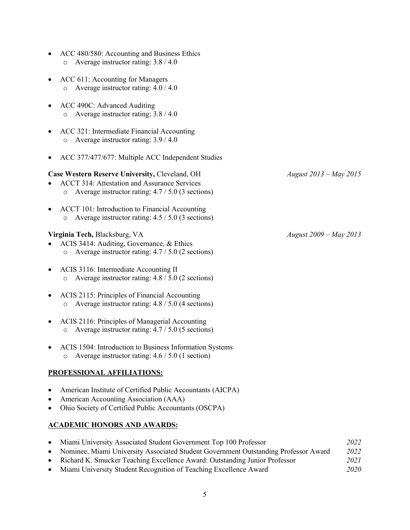- ACC 480/580: Accounting and Business Ethics o Average instructor rating: 3.8 / 4.0
- ACC 611: Accounting for Managers o Average instructor rating: 4.0 / 4.0
- ACC 490C: Advanced Auditing o Average instructor rating: 3.8 / 4.0
- ACC 321: Intermediate Financial Accounting o Average instructor rating: 3.9 / 4.0
- ACC 377/477/677: Multiple ACC Independent Studies

### **Case Western Reserve University,** Cleveland, OH *August 2013 – May 2015*

- ACCT 314: Attestation and Assurance Services o Average instructor rating: 4.7 / 5.0 (3 sections)
- ACCT 101: Introduction to Financial Accounting o Average instructor rating: 4.5 / 5.0 (3 sections)

### **Virginia Tech,** Blacksburg, VA *August 2009 – May 2013*

- ACIS 3414: Auditing, Governance, & Ethics o Average instructor rating: 4.7 / 5.0 (2 sections)
- ACIS 3116: Intermediate Accounting II o Average instructor rating: 4.8 / 5.0 (2 sections)
- ACIS 2115: Principles of Financial Accounting o Average instructor rating: 4.8 / 5.0 (4 sections)
- ACIS 2116: Principles of Managerial Accounting o Average instructor rating: 4.7 / 5.0 (5 sections)
- ACIS 1504: Introduction to Business Information Systems o Average instructor rating: 4.6 / 5.0 (1 section)

# **PROFESSIONAL AFFILIATIONS:**

- American Institute of Certified Public Accountants (AICPA)
- American Accounting Association (AAA)
- Ohio Society of Certified Public Accountants (OSCPA)

### **ACADEMIC HONORS AND AWARDS:**

| Miami University Associated Student Government Top 100 Professor                    | 2022 |
|-------------------------------------------------------------------------------------|------|
| Nominee, Miami University Associated Student Government Outstanding Professor Award | 2022 |
| Richard K. Smucker Teaching Excellence Award: Outstanding Junior Professor          | 2021 |
|                                                                                     |      |

• Miami University Student Recognition of Teaching Excellence Award *2020*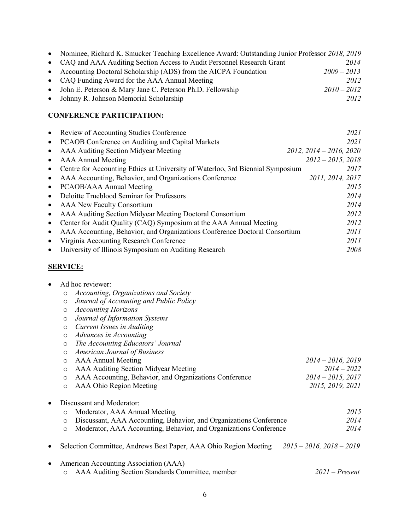| • Nominee, Richard K. Smucker Teaching Excellence Award: Outstanding Junior Professor 2018, 2019 |               |
|--------------------------------------------------------------------------------------------------|---------------|
| • CAQ and AAA Auditing Section Access to Audit Personnel Research Grant                          | 2014          |
| • Accounting Doctoral Scholarship (ADS) from the AICPA Foundation                                | $2009 - 2013$ |
| • CAQ Funding Award for the AAA Annual Meeting                                                   | 2012          |
| • John E. Peterson & Mary Jane C. Peterson Ph.D. Fellowship                                      | $2010 - 2012$ |
| • Johnny R. Johnson Memorial Scholarship                                                         | 2012          |

### **CONFERENCE PARTICIPATION:**

| $\bullet$ | Review of Accounting Studies Conference                                        | 2021                      |
|-----------|--------------------------------------------------------------------------------|---------------------------|
| $\bullet$ | PCAOB Conference on Auditing and Capital Markets                               | 2021                      |
| $\bullet$ | AAA Auditing Section Midyear Meeting                                           | $2012, 2014 - 2016, 2020$ |
| $\bullet$ | <b>AAA</b> Annual Meeting                                                      | $2012 - 2015$ , 2018      |
| $\bullet$ | Centre for Accounting Ethics at University of Waterloo, 3rd Biennial Symposium | 2017                      |
| $\bullet$ | AAA Accounting, Behavior, and Organizations Conference                         | 2011, 2014, 2017          |
| $\bullet$ | PCAOB/AAA Annual Meeting                                                       | 2015                      |
| $\bullet$ | Deloitte Trueblood Seminar for Professors                                      | 2014                      |
| $\bullet$ | AAA New Faculty Consortium                                                     | 2014                      |
| $\bullet$ | AAA Auditing Section Midyear Meeting Doctoral Consortium                       | 2012                      |
|           | Center for Audit Quality (CAQ) Symposium at the AAA Annual Meeting             | 2012                      |
| $\bullet$ | AAA Accounting, Behavior, and Organizations Conference Doctoral Consortium     | 2011                      |
| $\bullet$ | Virginia Accounting Research Conference                                        | 2011                      |
| $\bullet$ | University of Illinois Symposium on Auditing Research                          | 2008                      |
|           |                                                                                |                           |

### **SERVICE:**

|  | Ad hoc reviewer: |
|--|------------------|

- o *Accounting, Organizations and Society*
- o *Journal of Accounting and Public Policy*
- o *Accounting Horizons*
- o *Journal of Information Systems*
- o *Current Issues in Auditing*
- o *Advances in Accounting*
- o *The Accounting Educators' Journal*
- o *American Journal of Business*
- o AAA Annual Meeting *2014 – 2016, 2019*

| o AAA Auditing Section Midyear Meeting                   | $2014 - 2022$        |
|----------------------------------------------------------|----------------------|
| o AAA Accounting, Behavior, and Organizations Conference | $2014 - 2015$ , 2017 |
| o AAA Ohio Region Meeting                                | 2015, 2019, 2021     |

# • Discussant and Moderator:

| o Moderator, AAA Annual Meeting                                      | 2015 |
|----------------------------------------------------------------------|------|
| • Discussant, AAA Accounting, Behavior, and Organizations Conference | 2014 |
| o Moderator, AAA Accounting, Behavior, and Organizations Conference  | 2014 |

• Selection Committee, Andrews Best Paper, AAA Ohio Region Meeting *2015 – 2016, 2018 – 2019*

| • American Accounting Association (AAA)            |                  |
|----------------------------------------------------|------------------|
| o AAA Auditing Section Standards Committee, member | $2021$ – Present |